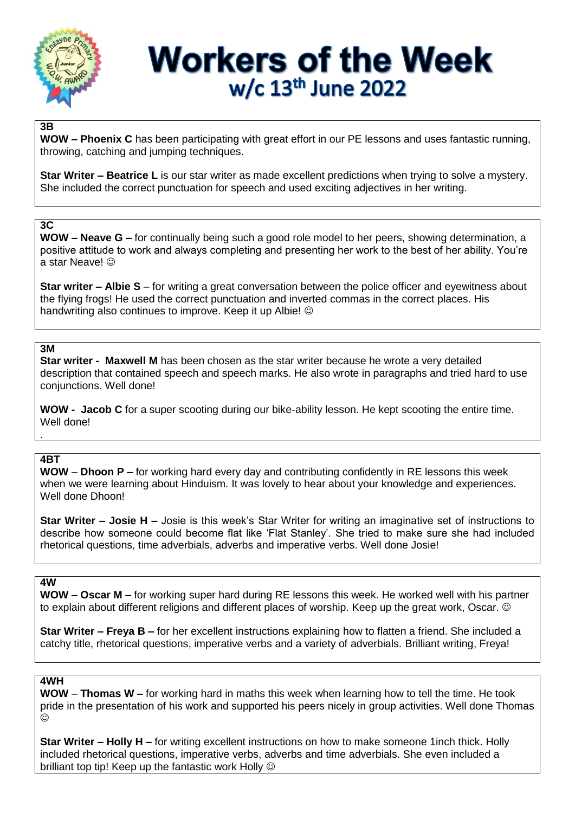

# **Workers of the Week** w/c 13<sup>th</sup> June 2022

### **3B**

**WOW – Phoenix C** has been participating with great effort in our PE lessons and uses fantastic running, throwing, catching and jumping techniques.

**Star Writer – Beatrice L** is our star writer as made excellent predictions when trying to solve a mystery. She included the correct punctuation for speech and used exciting adjectives in her writing.

### **3C**

**WOW – Neave G –** for continually being such a good role model to her peers, showing determination, a positive attitude to work and always completing and presenting her work to the best of her ability. You're a star Neave!

**Star writer – Albie S** – for writing a great conversation between the police officer and eyewitness about the flying frogs! He used the correct punctuation and inverted commas in the correct places. His handwriting also continues to improve. Keep it up Albie!  $\odot$ 

### **3M**

**Star writer - Maxwell M** has been chosen as the star writer because he wrote a very detailed description that contained speech and speech marks. He also wrote in paragraphs and tried hard to use conjunctions. Well done!

**WOW - Jacob C** for a super scooting during our bike-ability lesson. He kept scooting the entire time. Well done!

### **4BT**

.

**WOW** – **Dhoon P –** for working hard every day and contributing confidently in RE lessons this week when we were learning about Hinduism. It was lovely to hear about your knowledge and experiences. Well done Dhoon!

**Star Writer – Josie H –** Josie is this week's Star Writer for writing an imaginative set of instructions to describe how someone could become flat like 'Flat Stanley'. She tried to make sure she had included rhetorical questions, time adverbials, adverbs and imperative verbs. Well done Josie!

#### **4W**

**WOW – Oscar M –** for working super hard during RE lessons this week. He worked well with his partner to explain about different religions and different places of worship. Keep up the great work, Oscar. ©

**Star Writer – Freya B –** for her excellent instructions explaining how to flatten a friend. She included a catchy title, rhetorical questions, imperative verbs and a variety of adverbials. Brilliant writing, Freya!

### **4WH**

**WOW** – **Thomas W –** for working hard in maths this week when learning how to tell the time. He took pride in the presentation of his work and supported his peers nicely in group activities. Well done Thomas  $\odot$ 

**Star Writer – Holly H –** for writing excellent instructions on how to make someone 1inch thick. Holly included rhetorical questions, imperative verbs, adverbs and time adverbials. She even included a brilliant top tip! Keep up the fantastic work Holly  $\odot$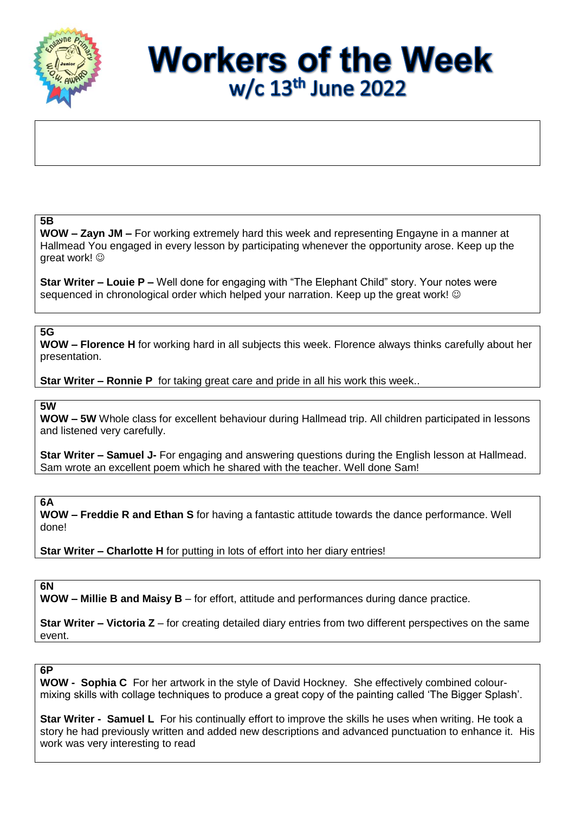

# **Workers of the Week** w/c 13<sup>th</sup> June 2022

### **5B**

**WOW – Zayn JM –** For working extremely hard this week and representing Engayne in a manner at Hallmead You engaged in every lesson by participating whenever the opportunity arose. Keep up the areat work! ©

**Star Writer – Louie P –** Well done for engaging with "The Elephant Child" story. Your notes were sequenced in chronological order which helped your narration. Keep up the great work! ©

### **5G**

**WOW – Florence H** for working hard in all subjects this week. Florence always thinks carefully about her presentation.

**Star Writer – Ronnie P** for taking great care and pride in all his work this week..

**5W**

**WOW – 5W** Whole class for excellent behaviour during Hallmead trip. All children participated in lessons and listened very carefully.

**Star Writer – Samuel J-** For engaging and answering questions during the English lesson at Hallmead. Sam wrote an excellent poem which he shared with the teacher. Well done Sam!

**6A**

**WOW – Freddie R and Ethan S** for having a fantastic attitude towards the dance performance. Well done!

**Star Writer – Charlotte H** for putting in lots of effort into her diary entries!

### **6N**

**WOW – Millie B and Maisy B** – for effort, attitude and performances during dance practice.

**Star Writer – Victoria Z** – for creating detailed diary entries from two different perspectives on the same event.

### **6P**

**WOW - Sophia C** For her artwork in the style of David Hockney. She effectively combined colourmixing skills with collage techniques to produce a great copy of the painting called 'The Bigger Splash'.

**Star Writer - Samuel L** For his continually effort to improve the skills he uses when writing. He took a story he had previously written and added new descriptions and advanced punctuation to enhance it.His work was very interesting to read